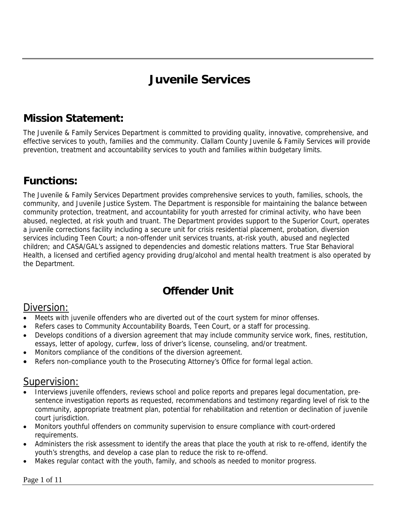# **Juvenile Services**

# **Mission Statement:**

The Juvenile & Family Services Department is committed to providing quality, innovative, comprehensive, and effective services to youth, families and the community. Clallam County Juvenile & Family Services will provide prevention, treatment and accountability services to youth and families within budgetary limits.

# **Functions:**

The Juvenile & Family Services Department provides comprehensive services to youth, families, schools, the community, and Juvenile Justice System. The Department is responsible for maintaining the balance between community protection, treatment, and accountability for youth arrested for criminal activity, who have been abused, neglected, at risk youth and truant. The Department provides support to the Superior Court, operates a juvenile corrections facility including a secure unit for crisis residential placement, probation, diversion services including Teen Court; a non-offender unit services truants, at-risk youth, abused and neglected children; and CASA/GAL's assigned to dependencies and domestic relations matters. True Star Behavioral Health, a licensed and certified agency providing drug/alcohol and mental health treatment is also operated by the Department.

# **Offender Unit**

#### Diversion:

- Meets with juvenile offenders who are diverted out of the court system for minor offenses.
- Refers cases to Community Accountability Boards, Teen Court, or a staff for processing.
- Develops conditions of a diversion agreement that may include community service work, fines, restitution, essays, letter of apology, curfew, loss of driver's license, counseling, and/or treatment.
- Monitors compliance of the conditions of the diversion agreement.
- Refers non-compliance youth to the Prosecuting Attorney's Office for formal legal action.

#### Supervision:

- Interviews juvenile offenders, reviews school and police reports and prepares legal documentation, presentence investigation reports as requested, recommendations and testimony regarding level of risk to the community, appropriate treatment plan, potential for rehabilitation and retention or declination of juvenile court jurisdiction.
- Monitors youthful offenders on community supervision to ensure compliance with court-ordered requirements.
- Administers the risk assessment to identify the areas that place the youth at risk to re-offend, identify the youth's strengths, and develop a case plan to reduce the risk to re-offend.
- Makes regular contact with the youth, family, and schools as needed to monitor progress.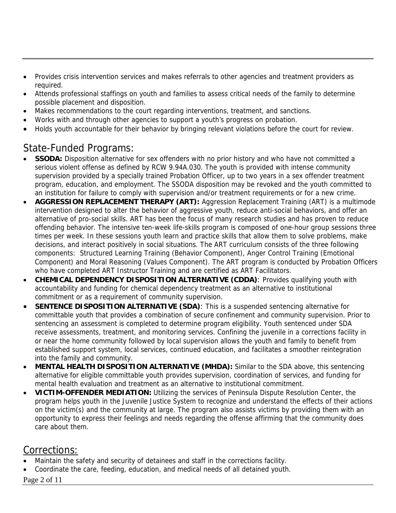- Provides crisis intervention services and makes referrals to other agencies and treatment providers as required.
- Attends professional staffings on youth and families to assess critical needs of the family to determine possible placement and disposition.
- Makes recommendations to the court regarding interventions, treatment, and sanctions.
- Works with and through other agencies to support a youth's progress on probation.
- Holds youth accountable for their behavior by bringing relevant violations before the court for review.

#### State-Funded Programs:

- **SSODA:** Disposition alternative for sex offenders with no prior history and who have not committed a serious violent offense as defined by RCW 9.94A.030. The youth is provided with intense community supervision provided by a specially trained Probation Officer, up to two years in a sex offender treatment program, education, and employment. The SSODA disposition may be revoked and the youth committed to an institution for failure to comply with supervision and/or treatment requirements or for a new crime.
- **AGGRESSION REPLACEMENT THERAPY (ART):** Aggression Replacement Training (ART) is a multimode intervention designed to alter the behavior of aggressive youth, reduce anti-social behaviors, and offer an alternative of pro-social skills. ART has been the focus of many research studies and has proven to reduce offending behavior. The intensive ten-week life-skills program is composed of one-hour group sessions three times per week. In these sessions youth learn and practice skills that allow them to solve problems, make decisions, and interact positively in social situations. The ART curriculum consists of the three following components: Structured Learning Training (Behavior Component), Anger Control Training (Emotional Component) and Moral Reasoning (Values Component). The ART program is conducted by Probation Officers who have completed ART Instructor Training and are certified as ART Facilitators.
- **CHEMICAL DEPENDENCY DISPOSITION ALTERNATIVE (CDDA)**: Provides qualifying youth with accountability and funding for chemical dependency treatment as an alternative to institutional commitment or as a requirement of community supervision.
- **SENTENCE DISPOSITION ALTERNATIVE (SDA)**: This is a suspended sentencing alternative for committable youth that provides a combination of secure confinement and community supervision. Prior to sentencing an assessment is completed to determine program eligibility. Youth sentenced under SDA receive assessments, treatment, and monitoring services. Confining the juvenile in a corrections facility in or near the home community followed by local supervision allows the youth and family to benefit from established support system, local services, continued education, and facilitates a smoother reintegration into the family and community.
- **MENTAL HEALTH DISPOSITION ALTERNATIVE (MHDA):** Similar to the SDA above, this sentencing alternative for eligible committable youth provides supervision, coordination of services, and funding for mental health evaluation and treatment as an alternative to institutional commitment.
- **VICTIM-OFFENDER MEDIATION:** Utilizing the services of Peninsula Dispute Resolution Center, the program helps youth in the Juvenile Justice System to recognize and understand the effects of their actions on the victim(s) and the community at large. The program also assists victims by providing them with an opportunity to express their feelings and needs regarding the offense affirming that the community does care about them.

#### Corrections:

- Maintain the safety and security of detainees and staff in the corrections facility.
- Coordinate the care, feeding, education, and medical needs of all detained youth.

Page 2 of 11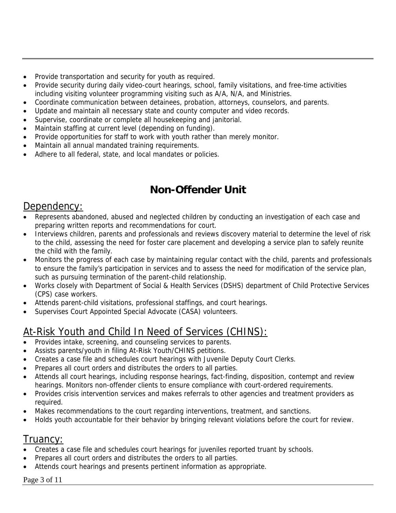- Provide transportation and security for youth as required.
- Provide security during daily video-court hearings, school, family visitations, and free-time activities including visiting volunteer programming visiting such as A/A, N/A, and Ministries.
- Coordinate communication between detainees, probation, attorneys, counselors, and parents.
- Update and maintain all necessary state and county computer and video records.
- Supervise, coordinate or complete all housekeeping and janitorial.
- Maintain staffing at current level (depending on funding).
- Provide opportunities for staff to work with youth rather than merely monitor.
- Maintain all annual mandated training requirements.
- Adhere to all federal, state, and local mandates or policies.

# **Non-Offender Unit**

#### Dependency:

- Represents abandoned, abused and neglected children by conducting an investigation of each case and preparing written reports and recommendations for court.
- Interviews children, parents and professionals and reviews discovery material to determine the level of risk to the child, assessing the need for foster care placement and developing a service plan to safely reunite the child with the family.
- Monitors the progress of each case by maintaining regular contact with the child, parents and professionals to ensure the family's participation in services and to assess the need for modification of the service plan, such as pursuing termination of the parent-child relationship.
- Works closely with Department of Social & Health Services (DSHS) department of Child Protective Services (CPS) case workers.
- Attends parent-child visitations, professional staffings, and court hearings.
- Supervises Court Appointed Special Advocate (CASA) volunteers.

# At-Risk Youth and Child In Need of Services (CHINS):

- Provides intake, screening, and counseling services to parents.
- Assists parents/youth in filing At-Risk Youth/CHINS petitions.
- Creates a case file and schedules court hearings with Juvenile Deputy Court Clerks.
- Prepares all court orders and distributes the orders to all parties.
- Attends all court hearings, including response hearings, fact-finding, disposition, contempt and review hearings. Monitors non-offender clients to ensure compliance with court-ordered requirements.
- Provides crisis intervention services and makes referrals to other agencies and treatment providers as required.
- Makes recommendations to the court regarding interventions, treatment, and sanctions.
- Holds youth accountable for their behavior by bringing relevant violations before the court for review.

#### Truancy:

- Creates a case file and schedules court hearings for juveniles reported truant by schools.
- Prepares all court orders and distributes the orders to all parties.
- Attends court hearings and presents pertinent information as appropriate.

#### Page 3 of 11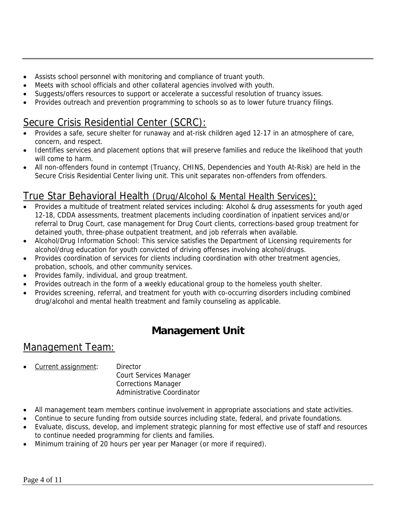- Assists school personnel with monitoring and compliance of truant youth.
- Meets with school officials and other collateral agencies involved with youth.
- Suggests/offers resources to support or accelerate a successful resolution of truancy issues.
- Provides outreach and prevention programming to schools so as to lower future truancy filings.

## Secure Crisis Residential Center (SCRC):

- Provides a safe, secure shelter for runaway and at-risk children aged 12-17 in an atmosphere of care, concern, and respect.
- Identifies services and placement options that will preserve families and reduce the likelihood that youth will come to harm.
- All non-offenders found in contempt (Truancy, CHINS, Dependencies and Youth At-Risk) are held in the Secure Crisis Residential Center living unit. This unit separates non-offenders from offenders.

#### True Star Behavioral Health (Drug/Alcohol & Mental Health Services):

- Provides a multitude of treatment related services including: Alcohol & drug assessments for youth aged 12-18, CDDA assessments, treatment placements including coordination of inpatient services and/or referral to Drug Court, case management for Drug Court clients, corrections-based group treatment for detained youth, three-phase outpatient treatment, and job referrals when available.
- Alcohol/Drug Information School: This service satisfies the Department of Licensing requirements for alcohol/drug education for youth convicted of driving offenses involving alcohol/drugs.
- Provides coordination of services for clients including coordination with other treatment agencies, probation, schools, and other community services.
- Provides family, individual, and group treatment.
- Provides outreach in the form of a weekly educational group to the homeless youth shelter.
- Provides screening, referral, and treatment for youth with co-occurring disorders including combined drug/alcohol and mental health treatment and family counseling as applicable.

## **Management Unit**

### Management Team:

Current assignment: Director

 Court Services Manager Corrections Manager Administrative Coordinator

- All management team members continue involvement in appropriate associations and state activities.
- Continue to secure funding from outside sources including state, federal, and private foundations.
- Evaluate, discuss, develop, and implement strategic planning for most effective use of staff and resources to continue needed programming for clients and families.
- Minimum training of 20 hours per year per Manager (or more if required).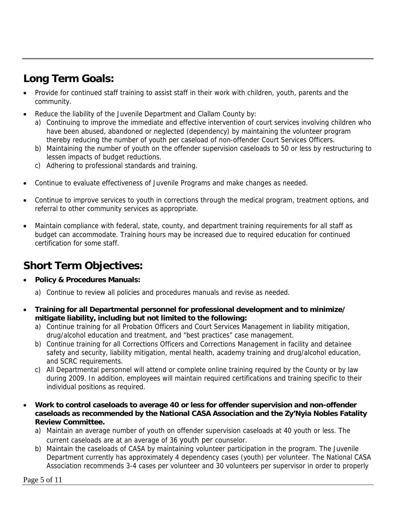# **Long Term Goals:**

- Provide for continued staff training to assist staff in their work with children, youth, parents and the community.
- Reduce the liability of the Juvenile Department and Clallam County by:
	- a) Continuing to improve the immediate and effective intervention of court services involving children who have been abused, abandoned or neglected (dependency) by maintaining the volunteer program thereby reducing the number of youth per caseload of non-offender Court Services Officers.
	- b) Maintaining the number of youth on the offender supervision caseloads to 50 or less by restructuring to lessen impacts of budget reductions.
	- c) Adhering to professional standards and training.
- Continue to evaluate effectiveness of Juvenile Programs and make changes as needed.
- Continue to improve services to youth in corrections through the medical program, treatment options, and referral to other community services as appropriate.
- Maintain compliance with federal, state, county, and department training requirements for all staff as budget can accommodate. Training hours may be increased due to required education for continued certification for some staff.

# **Short Term Objectives:**

- **Policy & Procedures Manuals:** 
	- a) Continue to review all policies and procedures manuals and revise as needed.
- **Training for all Departmental personnel for professional development and to minimize/ mitigate liability, including but not limited to the following:** 
	- a) Continue training for all Probation Officers and Court Services Management in liability mitigation, drug/alcohol education and treatment, and "best practices" case management.
	- b) Continue training for all Corrections Officers and Corrections Management in facility and detainee safety and security, liability mitigation, mental health, academy training and drug/alcohol education, and SCRC requirements.
	- c) All Departmental personnel will attend or complete online training required by the County or by law during 2009. In addition, employees will maintain required certifications and training specific to their individual positions as required.
- **Work to control caseloads to average 40 or less for offender supervision and non-offender caseloads as recommended by the National CASA Association and the Zy'Nyia Nobles Fatality Review Committee.** 
	- a) Maintain an average number of youth on offender supervision caseloads at 40 youth or less. The current caseloads are at an average of 36 youth per counselor.
	- b) Maintain the caseloads of CASA by maintaining volunteer participation in the program. The Juvenile Department currently has approximately 4 dependency cases (youth) per volunteer. The National CASA Association recommends 3-4 cases per volunteer and 30 volunteers per supervisor in order to properly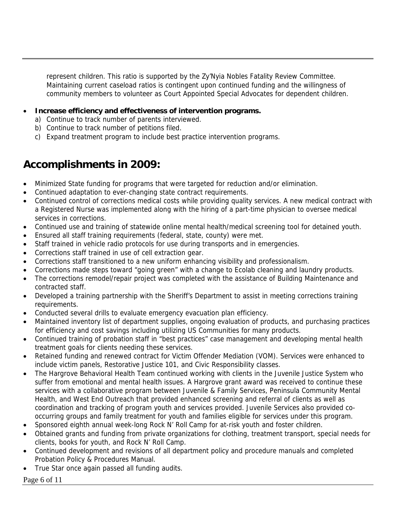represent children. This ratio is supported by the Zy'Nyia Nobles Fatality Review Committee. Maintaining current caseload ratios is contingent upon continued funding and the willingness of community members to volunteer as Court Appointed Special Advocates for dependent children.

- **Increase efficiency and effectiveness of intervention programs.** 
	- a) Continue to track number of parents interviewed.
	- b) Continue to track number of petitions filed.
	- c) Expand treatment program to include best practice intervention programs.

### **Accomplishments in 2009:**

- Minimized State funding for programs that were targeted for reduction and/or elimination.
- Continued adaptation to ever-changing state contract requirements.
- Continued control of corrections medical costs while providing quality services. A new medical contract with a Registered Nurse was implemented along with the hiring of a part-time physician to oversee medical services in corrections.
- Continued use and training of statewide online mental health/medical screening tool for detained youth.
- Ensured all staff training requirements (federal, state, county) were met.
- Staff trained in vehicle radio protocols for use during transports and in emergencies.
- Corrections staff trained in use of cell extraction gear.
- Corrections staff transitioned to a new uniform enhancing visibility and professionalism.
- Corrections made steps toward "going green" with a change to Ecolab cleaning and laundry products.
- The corrections remodel/repair project was completed with the assistance of Building Maintenance and contracted staff.
- Developed a training partnership with the Sheriff's Department to assist in meeting corrections training requirements.
- Conducted several drills to evaluate emergency evacuation plan efficiency.
- Maintained inventory list of department supplies, ongoing evaluation of products, and purchasing practices for efficiency and cost savings including utilizing US Communities for many products.
- Continued training of probation staff in "best practices" case management and developing mental health treatment goals for clients needing these services.
- Retained funding and renewed contract for Victim Offender Mediation (VOM). Services were enhanced to include victim panels, Restorative Justice 101, and Civic Responsibility classes.
- The Hargrove Behavioral Health Team continued working with clients in the Juvenile Justice System who suffer from emotional and mental health issues. A Hargrove grant award was received to continue these services with a collaborative program between Juvenile & Family Services, Peninsula Community Mental Health, and West End Outreach that provided enhanced screening and referral of clients as well as coordination and tracking of program youth and services provided. Juvenile Services also provided cooccurring groups and family treatment for youth and families eligible for services under this program.
- Sponsored eighth annual week-long Rock N' Roll Camp for at-risk youth and foster children.
- Obtained grants and funding from private organizations for clothing, treatment transport, special needs for clients, books for youth, and Rock N' Roll Camp.
- Continued development and revisions of all department policy and procedure manuals and completed Probation Policy & Procedures Manual.
- True Star once again passed all funding audits.

#### Page 6 of 11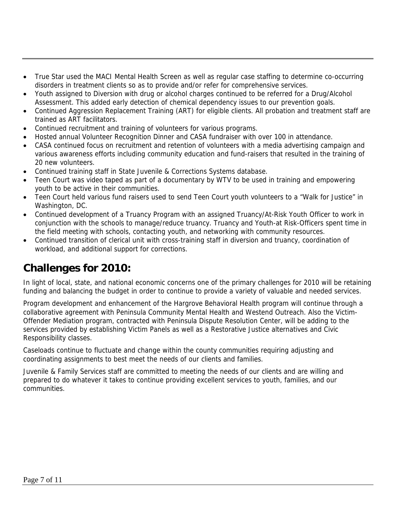- True Star used the MACI Mental Health Screen as well as regular case staffing to determine co-occurring disorders in treatment clients so as to provide and/or refer for comprehensive services.
- Youth assigned to Diversion with drug or alcohol charges continued to be referred for a Drug/Alcohol Assessment. This added early detection of chemical dependency issues to our prevention goals.
- Continued Aggression Replacement Training (ART) for eligible clients. All probation and treatment staff are trained as ART facilitators.
- Continued recruitment and training of volunteers for various programs.
- Hosted annual Volunteer Recognition Dinner and CASA fundraiser with over 100 in attendance.
- CASA continued focus on recruitment and retention of volunteers with a media advertising campaign and various awareness efforts including community education and fund-raisers that resulted in the training of 20 new volunteers.
- Continued training staff in State Juvenile & Corrections Systems database.
- Teen Court was video taped as part of a documentary by WTV to be used in training and empowering youth to be active in their communities.
- Teen Court held various fund raisers used to send Teen Court youth volunteers to a "Walk for Justice" in Washington, DC.
- Continued development of a Truancy Program with an assigned Truancy/At-Risk Youth Officer to work in conjunction with the schools to manage/reduce truancy. Truancy and Youth-at Risk-Officers spent time in the field meeting with schools, contacting youth, and networking with community resources.
- Continued transition of clerical unit with cross-training staff in diversion and truancy, coordination of workload, and additional support for corrections.

### **Challenges for 2010:**

In light of local, state, and national economic concerns one of the primary challenges for 2010 will be retaining funding and balancing the budget in order to continue to provide a variety of valuable and needed services.

Program development and enhancement of the Hargrove Behavioral Health program will continue through a collaborative agreement with Peninsula Community Mental Health and Westend Outreach. Also the Victim-Offender Mediation program, contracted with Peninsula Dispute Resolution Center, will be adding to the services provided by establishing Victim Panels as well as a Restorative Justice alternatives and Civic Responsibility classes.

Caseloads continue to fluctuate and change within the county communities requiring adjusting and coordinating assignments to best meet the needs of our clients and families.

Juvenile & Family Services staff are committed to meeting the needs of our clients and are willing and prepared to do whatever it takes to continue providing excellent services to youth, families, and our communities.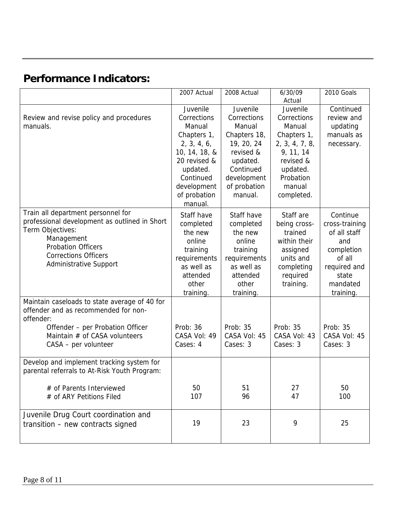# **Performance Indicators:**

|                                                                                                                                                                                                                    | 2007 Actual                                                                                                                                                         | 2008 Actual                                                                                                                                     | 6/30/09<br>Actual                                                                                                                             | 2010 Goals                                                                                                                  |
|--------------------------------------------------------------------------------------------------------------------------------------------------------------------------------------------------------------------|---------------------------------------------------------------------------------------------------------------------------------------------------------------------|-------------------------------------------------------------------------------------------------------------------------------------------------|-----------------------------------------------------------------------------------------------------------------------------------------------|-----------------------------------------------------------------------------------------------------------------------------|
| Review and revise policy and procedures<br>manuals.                                                                                                                                                                | Juvenile<br>Corrections<br>Manual<br>Chapters 1,<br>2, 3, 4, 6,<br>10, 14, 18, &<br>20 revised &<br>updated.<br>Continued<br>development<br>of probation<br>manual. | Juvenile<br>Corrections<br>Manual<br>Chapters 18,<br>19, 20, 24<br>revised &<br>updated.<br>Continued<br>development<br>of probation<br>manual. | Juvenile<br>Corrections<br>Manual<br>Chapters 1,<br>2, 3, 4, 7, 8,<br>9, 11, 14<br>revised &<br>updated.<br>Probation<br>manual<br>completed. | Continued<br>review and<br>updating<br>manuals as<br>necessary.                                                             |
| Train all department personnel for<br>professional development as outlined in Short<br>Term Objectives:<br>Management<br><b>Probation Officers</b><br><b>Corrections Officers</b><br><b>Administrative Support</b> | Staff have<br>completed<br>the new<br>online<br>training<br>requirements<br>as well as<br>attended<br>other<br>training.                                            | Staff have<br>completed<br>the new<br>online<br>training<br>requirements<br>as well as<br>attended<br>other<br>training.                        | Staff are<br>being cross-<br>trained<br>within their<br>assigned<br>units and<br>completing<br>required<br>training.                          | Continue<br>cross-training<br>of all staff<br>and<br>completion<br>of all<br>required and<br>state<br>mandated<br>training. |
| Maintain caseloads to state average of 40 for<br>offender and as recommended for non-<br>offender:<br>Offender - per Probation Officer<br>Maintain # of CASA volunteers<br>CASA - per volunteer                    | Prob: 36<br>CASA Vol: 49<br>Cases: 4                                                                                                                                | Prob: 35<br>CASA Vol: 45<br>Cases: 3                                                                                                            | Prob: 35<br>CASA Vol: 43<br>Cases: 3                                                                                                          | Prob: 35<br>CASA Vol: 45<br>Cases: 3                                                                                        |
| Develop and implement tracking system for<br>parental referrals to At-Risk Youth Program:<br># of Parents Interviewed<br># of ARY Petitions Filed                                                                  | 50<br>107                                                                                                                                                           | 51<br>96                                                                                                                                        | 27<br>47                                                                                                                                      | 50<br>100                                                                                                                   |
| Juvenile Drug Court coordination and<br>transition - new contracts signed                                                                                                                                          | 19                                                                                                                                                                  | 23                                                                                                                                              | 9                                                                                                                                             | 25                                                                                                                          |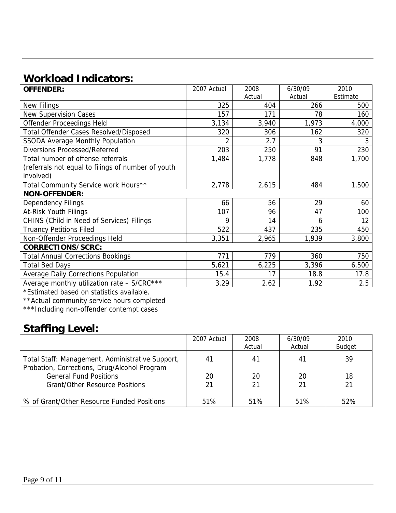# **Workload Indicators:**

| <b>OFFENDER:</b>                                   | 2007 Actual | 2008   | 6/30/09 | 2010     |  |
|----------------------------------------------------|-------------|--------|---------|----------|--|
|                                                    |             | Actual | Actual  | Estimate |  |
| <b>New Filings</b>                                 | 325         | 404    | 266     | 500      |  |
| <b>New Supervision Cases</b>                       | 157         | 171    | 78      | 160      |  |
| Offender Proceedings Held                          | 3,134       | 3,940  | 1,973   | 4,000    |  |
| <b>Total Offender Cases Resolved/Disposed</b>      | 320         | 306    | 162     | 320      |  |
| <b>SSODA Average Monthly Population</b>            | 2           | 2.7    | 3       | 3        |  |
| <b>Diversions Processed/Referred</b>               | 203         | 250    | 91      | 230      |  |
| Total number of offense referrals                  | 1,484       | 1,778  | 848     | 1,700    |  |
| (referrals not equal to filings of number of youth |             |        |         |          |  |
| involved)                                          |             |        |         |          |  |
| Total Community Service work Hours**               | 2,778       | 2,615  | 484     | 1,500    |  |
| <b>NON-OFFENDER:</b>                               |             |        |         |          |  |
| <b>Dependency Filings</b>                          | 66          | 56     | 29      | 60       |  |
| At-Risk Youth Filings                              | 107         | 96     | 47      | 100      |  |
| CHINS (Child in Need of Services) Filings          | 9           | 14     | 6       | 12       |  |
| <b>Truancy Petitions Filed</b>                     | 522         | 437    | 235     | 450      |  |
| Non-Offender Proceedings Held                      | 3,351       | 2,965  | 1,939   | 3,800    |  |
| CORRECTIONS/SCRC:                                  |             |        |         |          |  |
| <b>Total Annual Corrections Bookings</b>           | 771         | 779    | 360     | 750      |  |
| <b>Total Bed Days</b>                              | 5,621       | 6,225  | 3,396   | 6,500    |  |
| <b>Average Daily Corrections Population</b>        | 15.4        | 17     | 18.8    | 17.8     |  |
| Average monthly utilization rate - S/CRC***        | 3.29        | 2.62   | 1.92    | 2.5      |  |

\*Estimated based on statistics available.

\*\*Actual community service hours completed

\*\*\*Including non-offender contempt cases

## **Staffing Level:**

|                                                                                                  | 2007 Actual | 2008   | 6/30/09 | 2010          |
|--------------------------------------------------------------------------------------------------|-------------|--------|---------|---------------|
|                                                                                                  |             | Actual | Actual  | <b>Budget</b> |
| Total Staff: Management, Administrative Support,<br>Probation, Corrections, Drug/Alcohol Program | 41          | 41     | 41      | 39            |
| <b>General Fund Positions</b>                                                                    | 20          | 20     | 20      | 18            |
| <b>Grant/Other Resource Positions</b>                                                            | 21          | 21     | 21      | 21            |
| % of Grant/Other Resource Funded Positions                                                       | 51%         | 51%    | 51%     | 52%           |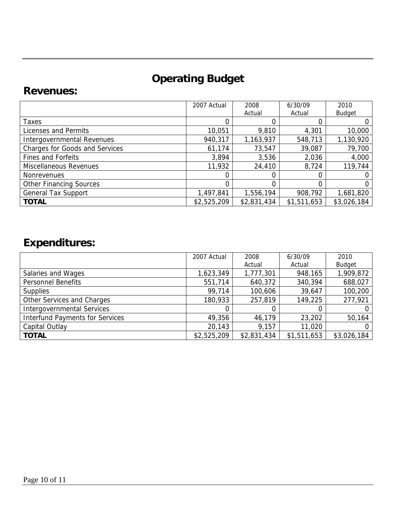# **Operating Budget**

### **Revenues:**

|                                       | 2007 Actual | 2008        | 6/30/09     | 2010          |
|---------------------------------------|-------------|-------------|-------------|---------------|
|                                       |             | Actual      | Actual      | <b>Budget</b> |
| <b>Taxes</b>                          |             |             |             |               |
| Licenses and Permits                  | 10,051      | 9,810       | 4,301       | 10,000        |
| Intergovernmental Revenues            | 940,317     | 1,163,937   | 548,713     | 1,130,920     |
| <b>Charges for Goods and Services</b> | 61,174      | 73,547      | 39,087      | 79,700        |
| <b>Fines and Forfeits</b>             | 3,894       | 3,536       | 2,036       | 4,000         |
| Miscellaneous Revenues                | 11,932      | 24,410      | 8,724       | 119,744       |
| <b>Nonrevenues</b>                    |             |             |             |               |
| <b>Other Financing Sources</b>        |             | 0           | 0           | 0             |
| <b>General Tax Support</b>            | 1,497,841   | 1,556,194   | 908,792     | 1,681,820     |
| <b>TOTAL</b>                          | \$2,525,209 | \$2,831,434 | \$1,511,653 | \$3,026,184   |

# **Expenditures:**

|                                        | 2007 Actual | 2008        | 6/30/09     | 2010          |
|----------------------------------------|-------------|-------------|-------------|---------------|
|                                        |             | Actual      | Actual      | <b>Budget</b> |
| Salaries and Wages                     | 1,623,349   | 1,777,301   | 948,165     | 1,909,872     |
| <b>Personnel Benefits</b>              | 551,714     | 640,372     | 340,394     | 688,027       |
| <b>Supplies</b>                        | 99,714      | 100,606     | 39,647      | 100,200       |
| Other Services and Charges             | 180,933     | 257,819     | 149,225     | 277,921       |
| <b>Intergovernmental Services</b>      |             | 0           |             |               |
| <b>Interfund Payments for Services</b> | 49,356      | 46,179      | 23,202      | 50,164        |
| Capital Outlay                         | 20,143      | 9,157       | 11,020      |               |
| <b>TOTAL</b>                           | \$2,525,209 | \$2,831,434 | \$1,511,653 | \$3,026,184   |